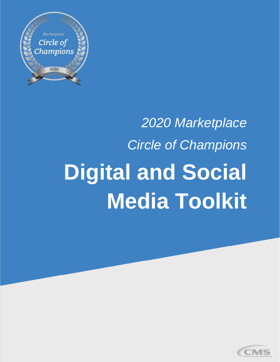

# *2020 Marketplace Circle of Champions*  **Digital and Social Media Toolkit**

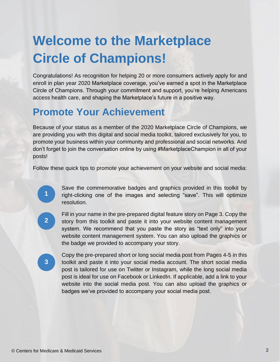# **Welcome to the Marketplace Circle of Champions!**

Congratulations! As recognition for helping 20 or more consumers actively apply for and enroll in plan year 2020 Marketplace coverage, you've earned a spot in the Marketplace Circle of Champions. Through your commitment and support, you're helping Americans access health care, and shaping the Marketplace's future in a positive way.

#### **Promote Your Achievement**

Because of your status as a member of the 2020 Marketplace Circle of Champions, we are providing you with this digital and social media toolkit, tailored exclusively for you, to promote your business within your community and professional and social networks. And don't forget to join the conversation online by using #MarketplaceChampion in all of your posts!

Follow these quick tips to promote your achievement on your website and social media:

Save the commemorative badges and graphics provided in this toolkit by right-clicking one of the images and selecting "save". This will optimize resolution.

**2**

**3**

**1**

Fill in your name in the pre-prepared digital feature story on Page 3. Copy the story from this toolkit and paste it into your website content management system. We recommend that you paste the story as "text only" into your website content management system. You can also upload the graphics or the badge we provided to accompany your story.

Copy the pre-prepared short or long social media post from Pages 4-5 in this toolkit and paste it into your social media account. The short social media post is tailored for use on Twitter or Instagram, while the long social media post is ideal for use on Facebook or LinkedIn. If applicable, add a link to your website into the social media post. You can also upload the graphics or badges we've provided to accompany your social media post.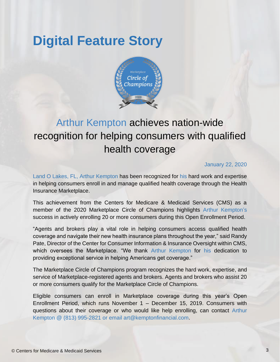## **Digital Feature Story**



### Arthur Kempton achieves nation-wide recognition for helping consumers with qualified health coverage

#### January 22, 2020

Land O Lakes, FL, Arthur Kempton has been recognized for his hard work and expertise in helping consumers enroll in and manage qualified health coverage through the Health Insurance Marketplace.

This achievement from the Centers for Medicare & Medicaid Services (CMS) as a member of the 2020 Marketplace Circle of Champions highlights Arthur Kempton's success in actively enrolling 20 or more consumers during this Open Enrollment Period.

"Agents and brokers play a vital role in helping consumers access qualified health coverage and navigate their new health insurance plans throughout the year," said Randy Pate, Director of the Center for Consumer Information & Insurance Oversight within CMS, which oversees the Marketplace. "We thank Arthur Kempton for his dedication to providing exceptional service in helping Americans get coverage."

The Marketplace Circle of Champions program recognizes the hard work, expertise, and service of Marketplace-registered agents and brokers. Agents and brokers who assist 20 or more consumers qualify for the Marketplace Circle of Champions.

Eligible consumers can enroll in Marketplace coverage during this year's Open Enrollment Period, which runs November 1 – December 15, 2019. Consumers with questions about their coverage or who would like help enrolling, can contact Arthur Kempton @ (813) 995-2821 or email art@kemptonfinancial.com.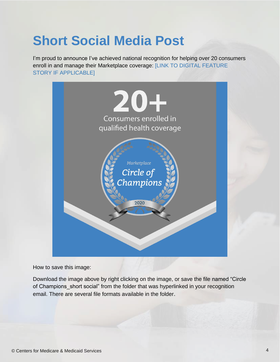# **Short Social Media Post**

I'm proud to announce I've achieved national recognition for helping over 20 consumers enroll in and manage their Marketplace coverage: [LINK TO DIGITAL FEATURE STORY IF APPLICABLE]



How to save this image:

Download the image above by right clicking on the image, or save the file named "Circle of Champions short social" from the folder that was hyperlinked in your recognition email. There are several file formats available in the folder.